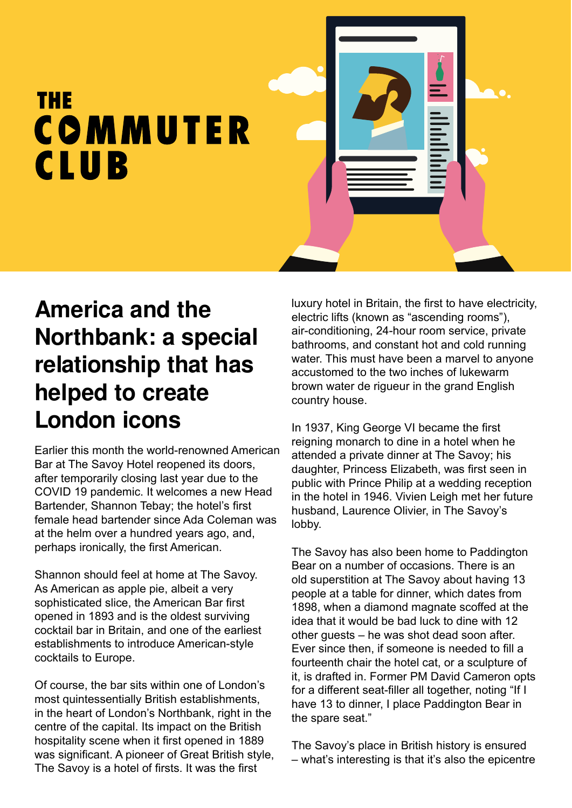## THE COMMUTER **CLUB**

## **America and the Northbank: a special relationship that has helped to create London icons**

Earlier this month the world-renowned American Bar at The Savoy Hotel reopened its doors, after temporarily closing last year due to the COVID 19 pandemic. It welcomes a new Head Bartender, Shannon Tebay; the hotel's first female head bartender since Ada Coleman was at the helm over a hundred years ago, and, perhaps ironically, the first American.

Shannon should feel at home at The Savoy. As American as apple pie, albeit a very sophisticated slice, the American Bar first opened in 1893 and is the oldest surviving cocktail bar in Britain, and one of the earliest establishments to introduce American-style cocktails to Europe.

Of course, the bar sits within one of London's most quintessentially British establishments, in the heart of London's Northbank, right in the centre of the capital. Its impact on the British hospitality scene when it first opened in 1889 was significant. A pioneer of Great British style, The Savoy is a hotel of firsts. It was the first

luxury hotel in Britain, the first to have electricity, electric lifts (known as "ascending rooms"), air-conditioning, 24-hour room service, private bathrooms, and constant hot and cold running water. This must have been a marvel to anyone accustomed to the two inches of lukewarm brown water de rigueur in the grand English country house.

In 1937, King George VI became the first reigning monarch to dine in a hotel when he attended a private dinner at The Savoy; his daughter, Princess Elizabeth, was first seen in public with Prince Philip at a wedding reception in the hotel in 1946. Vivien Leigh met her future husband, Laurence Olivier, in The Savoy's lobby.

The Savoy has also been home to Paddington Bear on a number of occasions. There is an old superstition at The Savoy about having 13 people at a table for dinner, which dates from 1898, when a diamond magnate scoffed at the idea that it would be bad luck to dine with 12 other guests – he was shot dead soon after. Ever since then, if someone is needed to fill a fourteenth chair the hotel cat, or a sculpture of it, is drafted in. Former PM David Cameron opts for a different seat-filler all together, noting "If I have 13 to dinner, I place Paddington Bear in the spare seat."

The Savoy's place in British history is ensured – what's interesting is that it's also the epicentre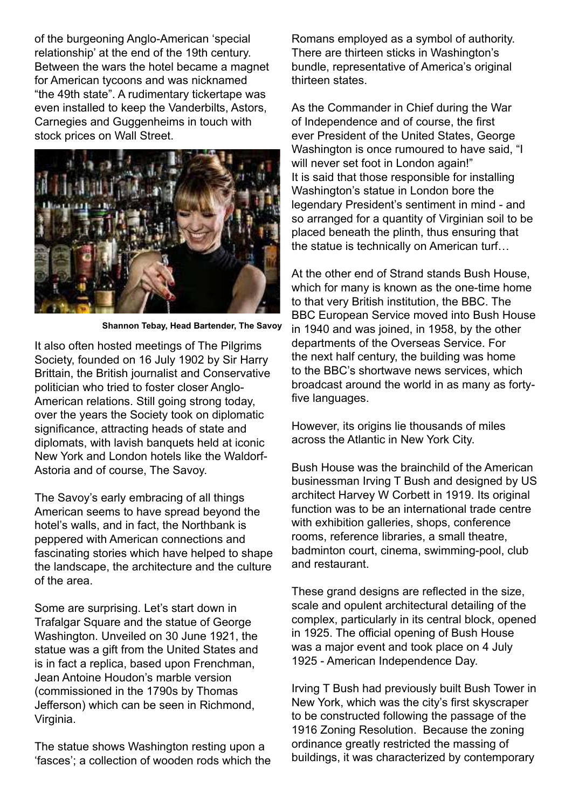of the burgeoning Anglo-American 'special relationship' at the end of the 19th century. Between the wars the hotel became a magnet for American tycoons and was nicknamed "the 49th state". A rudimentary tickertape was even installed to keep the Vanderbilts, Astors, Carnegies and Guggenheims in touch with stock prices on Wall Street.



**Shannon Tebay, Head Bartender, The Savoy**

It also often hosted meetings of The Pilgrims Society, founded on 16 July 1902 by Sir Harry Brittain, the British journalist and Conservative politician who tried to foster closer Anglo-American relations. Still going strong today, over the years the Society took on diplomatic significance, attracting heads of state and diplomats, with lavish banquets held at iconic New York and London hotels like the Waldorf-Astoria and of course, The Savoy.

The Savoy's early embracing of all things American seems to have spread beyond the hotel's walls, and in fact, the Northbank is peppered with American connections and fascinating stories which have helped to shape the landscape, the architecture and the culture of the area.

Some are surprising. Let's start down in Trafalgar Square and the statue of George Washington. Unveiled on 30 June 1921, the statue was a gift from the United States and is in fact a replica, based upon Frenchman, Jean Antoine Houdon's marble version (commissioned in the 1790s by Thomas Jefferson) which can be seen in Richmond, Virginia.

The statue shows Washington resting upon a 'fasces'; a collection of wooden rods which the Romans employed as a symbol of authority. There are thirteen sticks in Washington's bundle, representative of America's original thirteen states.

As the Commander in Chief during the War of Independence and of course, the first ever President of the United States, George Washington is once rumoured to have said, "I will never set foot in London again!" It is said that those responsible for installing Washington's statue in London bore the legendary President's sentiment in mind - and so arranged for a quantity of Virginian soil to be placed beneath the plinth, thus ensuring that the statue is technically on American turf…

At the other end of Strand stands Bush House, which for many is known as the one-time home to that very British institution, the BBC. The BBC European Service moved into Bush House in 1940 and was joined, in 1958, by the other departments of the Overseas Service. For the next half century, the building was home to the BBC's shortwave news services, which broadcast around the world in as many as fortyfive languages.

However, its origins lie thousands of miles across the Atlantic in New York City.

Bush House was the brainchild of the American businessman Irving T Bush and designed by US architect Harvey W Corbett in 1919. Its original function was to be an international trade centre with exhibition galleries, shops, conference rooms, reference libraries, a small theatre, badminton court, cinema, swimming-pool, club and restaurant.

These grand designs are reflected in the size, scale and opulent architectural detailing of the complex, particularly in its central block, opened in 1925. The official opening of Bush House was a major event and took place on 4 July 1925 - American Independence Day.

Irving T Bush had previously built Bush Tower in New York, which was the city's first skyscraper to be constructed following the passage of the 1916 Zoning Resolution. Because the zoning ordinance greatly restricted the massing of buildings, it was characterized by contemporary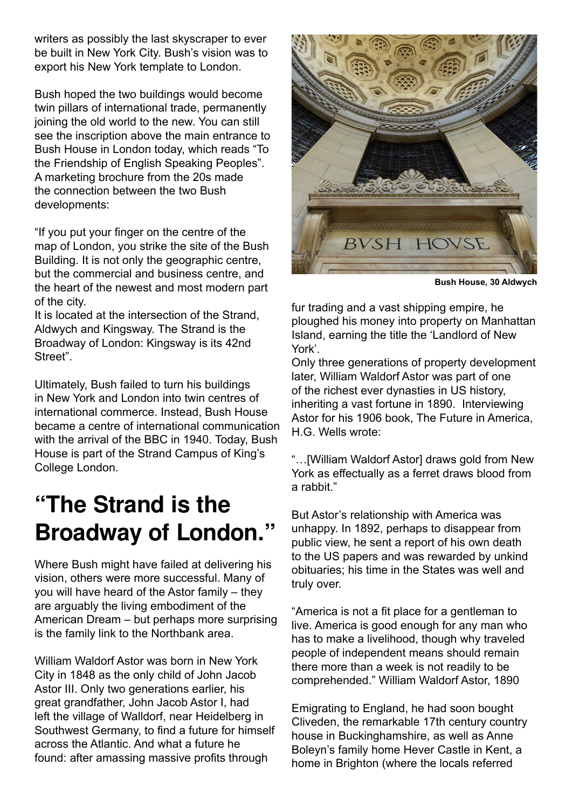writers as possibly the last skyscraper to ever be built in New York City. Bush's vision was to export his New York template to London.

Bush hoped the two buildings would become twin pillars of international trade, permanently joining the old world to the new. You can still see the inscription above the main entrance to Bush House in London today, which reads "To the Friendship of English Speaking Peoples". A marketing brochure from the 20s made the connection between the two Bush developments:

"If you put your finger on the centre of the map of London, you strike the site of the Bush Building. It is not only the geographic centre, but the commercial and business centre, and the heart of the newest and most modern part of the city.

It is located at the intersection of the Strand, Aldwych and Kingsway. The Strand is the Broadway of London: Kingsway is its 42nd Street".

Ultimately, Bush failed to turn his buildings in New York and London into twin centres of international commerce. Instead, Bush House became a centre of international communication with the arrival of the BBC in 1940. Today, Bush House is part of the Strand Campus of King's College London.

## **"The Strand is the Broadway of London."**

Where Bush might have failed at delivering his vision, others were more successful. Many of you will have heard of the Astor family – they are arguably the living embodiment of the American Dream – but perhaps more surprising is the family link to the Northbank area.

William Waldorf Astor was born in New York City in 1848 as the only child of John Jacob Astor III. Only two generations earlier, his great grandfather, John Jacob Astor I, had left the village of Walldorf, near Heidelberg in Southwest Germany, to find a future for himself across the Atlantic. And what a future he found: after amassing massive profits through



**Bush House, 30 Aldwych**

fur trading and a vast shipping empire, he ploughed his money into property on Manhattan Island, earning the title the 'Landlord of New York'.

Only three generations of property development later, William Waldorf Astor was part of one of the richest ever dynasties in US history, inheriting a vast fortune in 1890. Interviewing Astor for his 1906 book, The Future in America, H.G. Wells wrote:

"…[William Waldorf Astor] draws gold from New York as effectually as a ferret draws blood from a rabbit."

But Astor's relationship with America was unhappy. In 1892, perhaps to disappear from public view, he sent a report of his own death to the US papers and was rewarded by unkind obituaries; his time in the States was well and truly over.

"America is not a fit place for a gentleman to live. America is good enough for any man who has to make a livelihood, though why traveled people of independent means should remain there more than a week is not readily to be comprehended." William Waldorf Astor, 1890

Emigrating to England, he had soon bought Cliveden, the remarkable 17th century country house in Buckinghamshire, as well as Anne Boleyn's family home Hever Castle in Kent, a home in Brighton (where the locals referred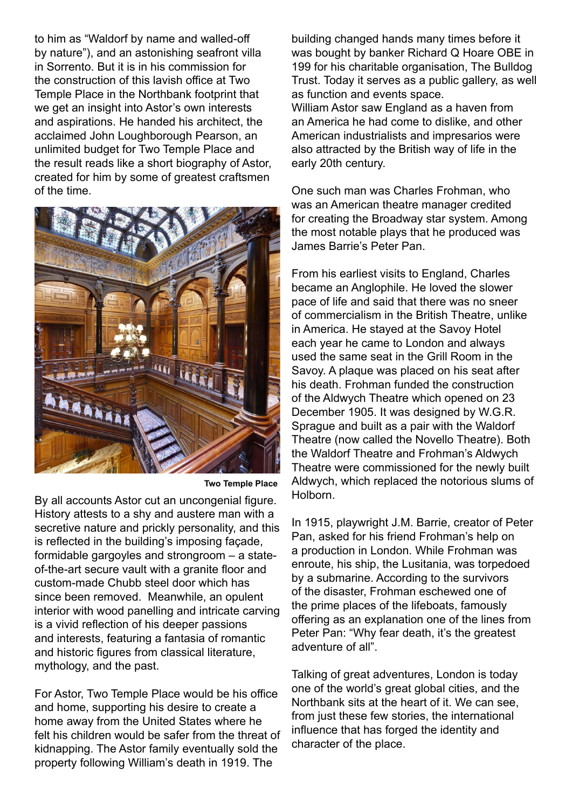to him as "Waldorf by name and walled-off by nature"), and an astonishing seafront villa in Sorrento. But it is in his commission for the construction of this lavish office at Two Temple Place in the Northbank footprint that we get an insight into Astor's own interests and aspirations. He handed his architect, the acclaimed John Loughborough Pearson, an unlimited budget for Two Temple Place and the result reads like a short biography of Astor, created for him by some of greatest craftsmen of the time.



**Two Temple Place**

By all accounts Astor cut an uncongenial figure. History attests to a shy and austere man with a secretive nature and prickly personality, and this is reflected in the building's imposing façade, formidable gargoyles and strongroom – a stateof-the-art secure vault with a granite floor and custom-made Chubb steel door which has since been removed. Meanwhile, an opulent interior with wood panelling and intricate carving is a vivid reflection of his deeper passions and interests, featuring a fantasia of romantic and historic figures from classical literature, mythology, and the past.

For Astor, Two Temple Place would be his office and home, supporting his desire to create a home away from the United States where he felt his children would be safer from the threat of kidnapping. The Astor family eventually sold the property following William's death in 1919. The

building changed hands many times before it was bought by banker Richard Q Hoare OBE in 199 for his charitable organisation, The Bulldog Trust. Today it serves as a public gallery, as well as function and events space. William Astor saw England as a haven from

an America he had come to dislike, and other American industrialists and impresarios were also attracted by the British way of life in the early 20th century.

One such man was Charles Frohman, who was an American theatre manager credited for creating the Broadway star system. Among the most notable plays that he produced was James Barrie's Peter Pan.

From his earliest visits to England, Charles became an Anglophile. He loved the slower pace of life and said that there was no sneer of commercialism in the British Theatre, unlike in America. He stayed at the Savoy Hotel each year he came to London and always used the same seat in the Grill Room in the Savoy. A plaque was placed on his seat after his death. Frohman funded the construction of the Aldwych Theatre which opened on 23 December 1905. It was designed by W.G.R. Sprague and built as a pair with the Waldorf Theatre (now called the Novello Theatre). Both the Waldorf Theatre and Frohman's Aldwych Theatre were commissioned for the newly built Aldwych, which replaced the notorious slums of Holborn.

In 1915, playwright J.M. Barrie, creator of Peter Pan, asked for his friend Frohman's help on a production in London. While Frohman was enroute, his ship, the Lusitania, was torpedoed by a submarine. According to the survivors of the disaster, Frohman eschewed one of the prime places of the lifeboats, famously offering as an explanation one of the lines from Peter Pan: "Why fear death, it's the greatest adventure of all".

Talking of great adventures, London is today one of the world's great global cities, and the Northbank sits at the heart of it. We can see, from just these few stories, the international influence that has forged the identity and character of the place.